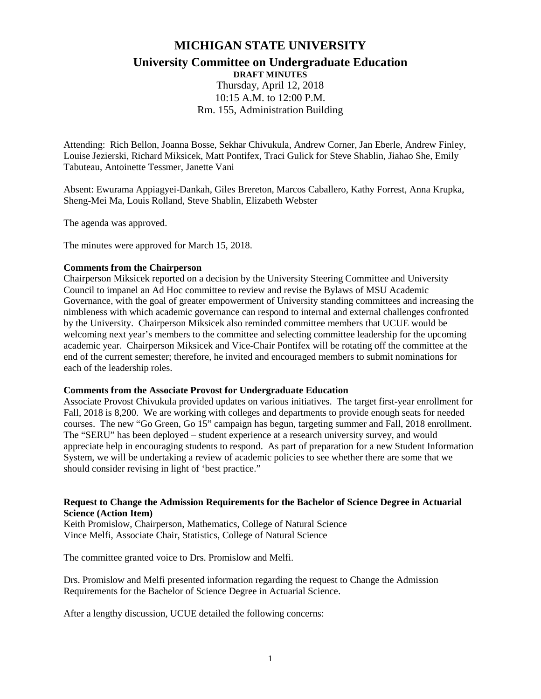# **MICHIGAN STATE UNIVERSITY University Committee on Undergraduate Education**

**DRAFT MINUTES** Thursday, April 12, 2018 10:15 A.M. to 12:00 P.M. Rm. 155, Administration Building

Attending: Rich Bellon, Joanna Bosse, Sekhar Chivukula, Andrew Corner, Jan Eberle, Andrew Finley, Louise Jezierski, Richard Miksicek, Matt Pontifex, Traci Gulick for Steve Shablin, Jiahao She, Emily Tabuteau, Antoinette Tessmer, Janette Vani

Absent: Ewurama Appiagyei-Dankah, Giles Brereton, Marcos Caballero, Kathy Forrest, Anna Krupka, Sheng-Mei Ma, Louis Rolland, Steve Shablin, Elizabeth Webster

The agenda was approved.

The minutes were approved for March 15, 2018.

#### **Comments from the Chairperson**

Chairperson Miksicek reported on a decision by the University Steering Committee and University Council to impanel an Ad Hoc committee to review and revise the Bylaws of MSU Academic Governance, with the goal of greater empowerment of University standing committees and increasing the nimbleness with which academic governance can respond to internal and external challenges confronted by the University. Chairperson Miksicek also reminded committee members that UCUE would be welcoming next year's members to the committee and selecting committee leadership for the upcoming academic year. Chairperson Miksicek and Vice-Chair Pontifex will be rotating off the committee at the end of the current semester; therefore, he invited and encouraged members to submit nominations for each of the leadership roles.

#### **Comments from the Associate Provost for Undergraduate Education**

Associate Provost Chivukula provided updates on various initiatives. The target first-year enrollment for Fall, 2018 is 8,200. We are working with colleges and departments to provide enough seats for needed courses. The new "Go Green, Go 15" campaign has begun, targeting summer and Fall, 2018 enrollment. The "SERU" has been deployed – student experience at a research university survey, and would appreciate help in encouraging students to respond. As part of preparation for a new Student Information System, we will be undertaking a review of academic policies to see whether there are some that we should consider revising in light of 'best practice."

#### **Request to Change the Admission Requirements for the Bachelor of Science Degree in Actuarial Science (Action Item)**

Keith Promislow, Chairperson, Mathematics, College of Natural Science Vince Melfi, Associate Chair, Statistics, College of Natural Science

The committee granted voice to Drs. Promislow and Melfi.

Drs. Promislow and Melfi presented information regarding the request to Change the Admission Requirements for the Bachelor of Science Degree in Actuarial Science.

After a lengthy discussion, UCUE detailed the following concerns: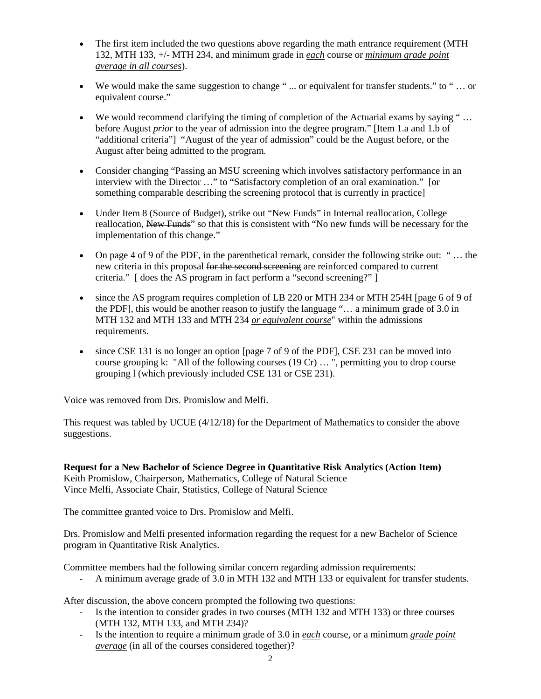- The first item included the two questions above regarding the math entrance requirement (MTH) 132, MTH 133, +/- MTH 234, and minimum grade in *each* course or *minimum grade point average in all courses*).
- We would make the same suggestion to change "... or equivalent for transfer students." to "... or equivalent course."
- We would recommend clarifying the timing of completion of the Actuarial exams by saying "... before August *prior* to the year of admission into the degree program." [Item 1.a and 1.b of "additional criteria"] "August of the year of admission" could be the August before, or the August after being admitted to the program.
- Consider changing "Passing an MSU screening which involves satisfactory performance in an interview with the Director …" to "Satisfactory completion of an oral examination." [or something comparable describing the screening protocol that is currently in practice]
- Under Item 8 (Source of Budget), strike out "New Funds" in Internal reallocation, College reallocation, New Funds" so that this is consistent with "No new funds will be necessary for the implementation of this change."
- On page 4 of 9 of the PDF, in the parenthetical remark, consider the following strike out: " ... the new criteria in this proposal for the second screening are reinforced compared to current criteria." [ does the AS program in fact perform a "second screening?" ]
- since the AS program requires completion of LB 220 or MTH 234 or MTH 254H [page 6 of 9 of the PDF], this would be another reason to justify the language "… a minimum grade of 3.0 in MTH 132 and MTH 133 and MTH 234 *or equivalent course*" within the admissions requirements.
- since CSE 131 is no longer an option [page 7 of 9 of the PDF], CSE 231 can be moved into course grouping k: "All of the following courses (19 Cr) … ", permitting you to drop course grouping l (which previously included CSE 131 or CSE 231).

Voice was removed from Drs. Promislow and Melfi.

This request was tabled by UCUE (4/12/18) for the Department of Mathematics to consider the above suggestions.

**Request for a New Bachelor of Science Degree in Quantitative Risk Analytics (Action Item)** Keith Promislow, Chairperson, Mathematics, College of Natural Science Vince Melfi, Associate Chair, Statistics, College of Natural Science

The committee granted voice to Drs. Promislow and Melfi.

Drs. Promislow and Melfi presented information regarding the request for a new Bachelor of Science program in Quantitative Risk Analytics.

Committee members had the following similar concern regarding admission requirements:

- A minimum average grade of 3.0 in MTH 132 and MTH 133 or equivalent for transfer students.

After discussion, the above concern prompted the following two questions:

- Is the intention to consider grades in two courses (MTH 132 and MTH 133) or three courses (MTH 132, MTH 133, and MTH 234)?
- Is the intention to require a minimum grade of 3.0 in *each* course, or a minimum *grade point average* (in all of the courses considered together)?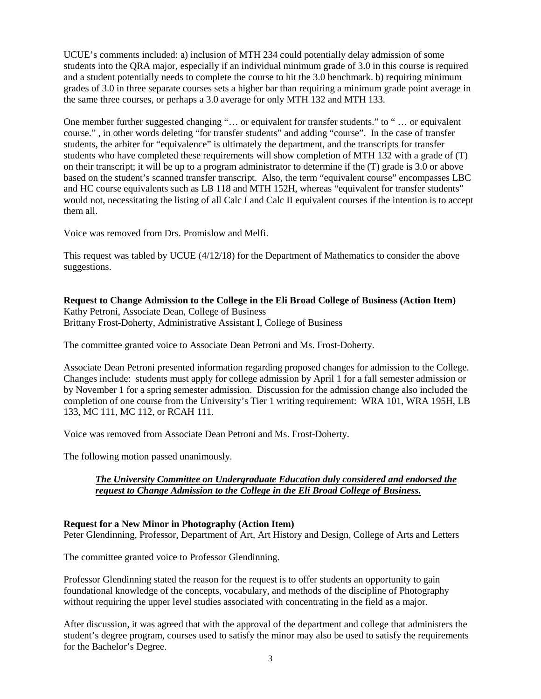UCUE's comments included: a) inclusion of MTH 234 could potentially delay admission of some students into the QRA major, especially if an individual minimum grade of 3.0 in this course is required and a student potentially needs to complete the course to hit the 3.0 benchmark. b) requiring minimum grades of 3.0 in three separate courses sets a higher bar than requiring a minimum grade point average in the same three courses, or perhaps a 3.0 average for only MTH 132 and MTH 133.

One member further suggested changing "… or equivalent for transfer students." to " … or equivalent course." , in other words deleting "for transfer students" and adding "course". In the case of transfer students, the arbiter for "equivalence" is ultimately the department, and the transcripts for transfer students who have completed these requirements will show completion of MTH 132 with a grade of (T) on their transcript; it will be up to a program administrator to determine if the (T) grade is 3.0 or above based on the student's scanned transfer transcript. Also, the term "equivalent course" encompasses LBC and HC course equivalents such as LB 118 and MTH 152H, whereas "equivalent for transfer students" would not, necessitating the listing of all Calc I and Calc II equivalent courses if the intention is to accept them all.

Voice was removed from Drs. Promislow and Melfi.

This request was tabled by UCUE (4/12/18) for the Department of Mathematics to consider the above suggestions.

**Request to Change Admission to the College in the Eli Broad College of Business (Action Item)** Kathy Petroni, Associate Dean, College of Business Brittany Frost-Doherty, Administrative Assistant I, College of Business

The committee granted voice to Associate Dean Petroni and Ms. Frost-Doherty.

Associate Dean Petroni presented information regarding proposed changes for admission to the College. Changes include: students must apply for college admission by April 1 for a fall semester admission or by November 1 for a spring semester admission. Discussion for the admission change also included the completion of one course from the University's Tier 1 writing requirement: WRA 101, WRA 195H, LB 133, MC 111, MC 112, or RCAH 111.

Voice was removed from Associate Dean Petroni and Ms. Frost-Doherty.

The following motion passed unanimously.

# *The University Committee on Undergraduate Education duly considered and endorsed the request to Change Admission to the College in the Eli Broad College of Business.*

#### **Request for a New Minor in Photography (Action Item)**

Peter Glendinning, Professor, Department of Art, Art History and Design, College of Arts and Letters

The committee granted voice to Professor Glendinning.

Professor Glendinning stated the reason for the request is to offer students an opportunity to gain foundational knowledge of the concepts, vocabulary, and methods of the discipline of Photography without requiring the upper level studies associated with concentrating in the field as a major.

After discussion, it was agreed that with the approval of the department and college that administers the student's degree program, courses used to satisfy the minor may also be used to satisfy the requirements for the Bachelor's Degree.